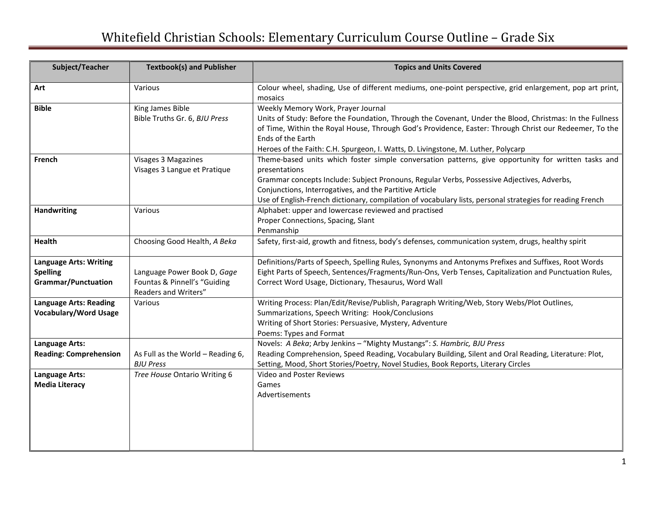## Whitefield Christian Schools: Elementary Curriculum Course Outline – Grade Six

| Subject/Teacher                                                                | <b>Textbook(s) and Publisher</b>                                                    | <b>Topics and Units Covered</b>                                                                                                                                                                                                                                                                                                                                                            |
|--------------------------------------------------------------------------------|-------------------------------------------------------------------------------------|--------------------------------------------------------------------------------------------------------------------------------------------------------------------------------------------------------------------------------------------------------------------------------------------------------------------------------------------------------------------------------------------|
| Art                                                                            | Various                                                                             | Colour wheel, shading, Use of different mediums, one-point perspective, grid enlargement, pop art print,<br>mosaics                                                                                                                                                                                                                                                                        |
| <b>Bible</b>                                                                   | King James Bible<br>Bible Truths Gr. 6, BJU Press                                   | Weekly Memory Work, Prayer Journal<br>Units of Study: Before the Foundation, Through the Covenant, Under the Blood, Christmas: In the Fullness<br>of Time, Within the Royal House, Through God's Providence, Easter: Through Christ our Redeemer, To the<br>Ends of the Earth<br>Heroes of the Faith: C.H. Spurgeon, I. Watts, D. Livingstone, M. Luther, Polycarp                         |
| French                                                                         | Visages 3 Magazines<br>Visages 3 Langue et Pratique                                 | Theme-based units which foster simple conversation patterns, give opportunity for written tasks and<br>presentations<br>Grammar concepts Include: Subject Pronouns, Regular Verbs, Possessive Adjectives, Adverbs,<br>Conjunctions, Interrogatives, and the Partitive Article<br>Use of English-French dictionary, compilation of vocabulary lists, personal strategies for reading French |
| <b>Handwriting</b>                                                             | Various                                                                             | Alphabet: upper and lowercase reviewed and practised<br>Proper Connections, Spacing, Slant<br>Penmanship                                                                                                                                                                                                                                                                                   |
| <b>Health</b>                                                                  | Choosing Good Health, A Beka                                                        | Safety, first-aid, growth and fitness, body's defenses, communication system, drugs, healthy spirit                                                                                                                                                                                                                                                                                        |
| <b>Language Arts: Writing</b><br><b>Spelling</b><br><b>Grammar/Punctuation</b> | Language Power Book D, Gage<br>Fountas & Pinnell's "Guiding<br>Readers and Writers" | Definitions/Parts of Speech, Spelling Rules, Synonyms and Antonyms Prefixes and Suffixes, Root Words<br>Eight Parts of Speech, Sentences/Fragments/Run-Ons, Verb Tenses, Capitalization and Punctuation Rules,<br>Correct Word Usage, Dictionary, Thesaurus, Word Wall                                                                                                                     |
| <b>Language Arts: Reading</b><br><b>Vocabulary/Word Usage</b>                  | Various                                                                             | Writing Process: Plan/Edit/Revise/Publish, Paragraph Writing/Web, Story Webs/Plot Outlines,<br>Summarizations, Speech Writing: Hook/Conclusions<br>Writing of Short Stories: Persuasive, Mystery, Adventure<br>Poems: Types and Format                                                                                                                                                     |
| Language Arts:<br><b>Reading: Comprehension</b>                                | As Full as the World - Reading 6,<br><b>BJU Press</b>                               | Novels: A Beka; Arby Jenkins - "Mighty Mustangs": S. Hambric, BJU Press<br>Reading Comprehension, Speed Reading, Vocabulary Building, Silent and Oral Reading, Literature: Plot,<br>Setting, Mood, Short Stories/Poetry, Novel Studies, Book Reports, Literary Circles                                                                                                                     |
| Language Arts:<br><b>Media Literacy</b>                                        | Tree House Ontario Writing 6                                                        | Video and Poster Reviews<br>Games<br>Advertisements                                                                                                                                                                                                                                                                                                                                        |